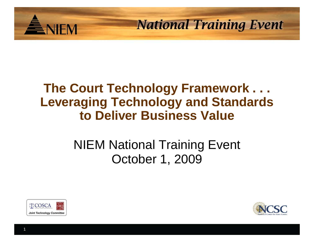

#### **The Court Technology Framework . . . Leveraging Technology and Standards to Deliver Business Value**

#### NIEM National Training Event October 1, 2009



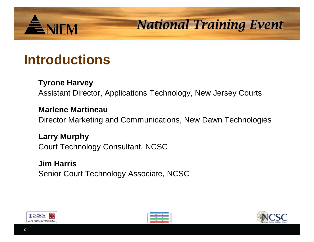#### **Introductions**

ENIEM

#### **Tyrone Harvey**

Assistant Director, Applications Technology, New Jersey Courts

#### **Marlene Martineau**

Director Marketing and Communications, New Dawn Technologies

**Larry Murphy** Court Technology Consultant, NCSC

**Jim Harris** Senior Court Technology Associate, NCSC





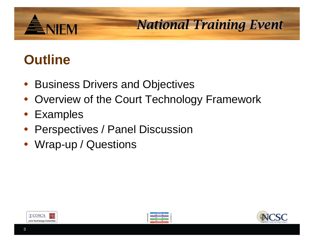# **Outline**

**ENIEM** 

- Business Drivers and Objectives
- Overview of the Court Technology Framework
- **Examples**
- Perspectives / Panel Discussion
- Wrap-up / Questions





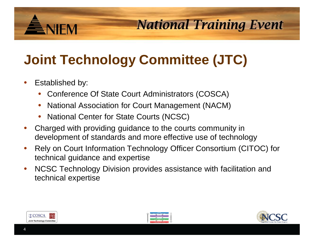# **Joint Technology Committee (JTC)**

Established by:

ÈNIEM

- Conference Of State Court Administrators (COSCA)
- National Association for Court Management (NACM)
- National Center for State Courts (NCSC)
- Charged with providing guidance to the courts community in development of standards and more effective use of technology
- Rely on Court Information Technology Officer Consortium (CITOC) for technical guidance and expertise
- NCSC Technology Division provides assistance with facilitation and technical expertise





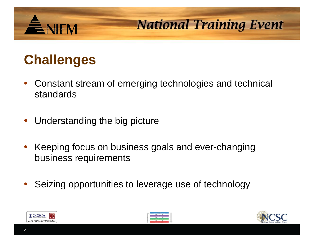## **Challenges**

ENEM

- Constant stream of emerging technologies and technical standards
- Understanding the big picture
- Keeping focus on business goals and ever-changing business requirements
- Seizing opportunities to leverage use of technology





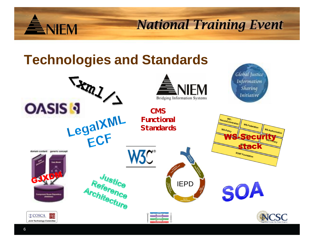

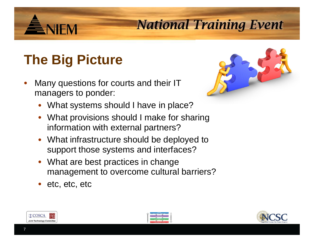# **The Big Picture**

**ENIFM** 

- Many questions for courts and their IT managers to ponder:
	- What systems should I have in place?
	- What provisions should I make for sharing information with external partners?
	- What infrastructure should be deployed to support those systems and interfaces?
	- What are best practices in change management to overcome cultural barriers?
	- etc, etc, etc







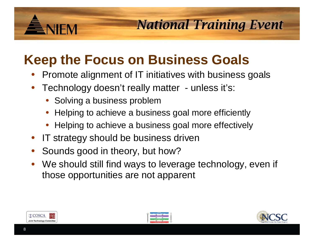# **ENIFM**

#### **National Training Event**

## **Keep the Focus on Business Goals**

- Promote alignment of IT initiatives with business goals
- Technology doesn't really matter unless it's:
	- Solving a business problem
	- Helping to achieve a business goal more efficiently
	- Helping to achieve a business goal more effectively
- IT strategy should be business driven
- Sounds good in theory, but how?
- We should still find ways to leverage technology, even if those opportunities are not apparent





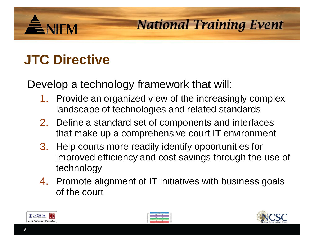# **JTC Directive**

**ENIFM** 

Develop a technology framework that will:

- 1. Provide an organized view of the increasingly complex landscape of technologies and related standards
- 2. Define a standard set of components and interfaces that make up a comprehensive court IT environment
- 3. Help courts more readily identify opportunities for improved efficiency and cost savings through the use of technology
- 4. Promote alignment of IT initiatives with business goals of the court





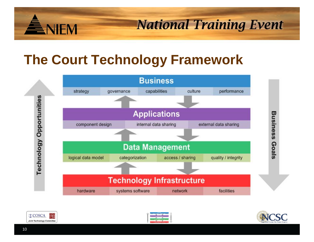

#### **The Court Technology Framework**







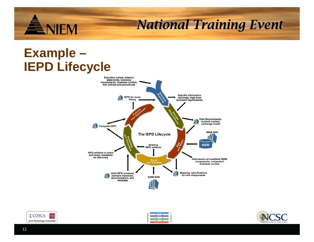

#### **Example – IEPD Lifecycle**







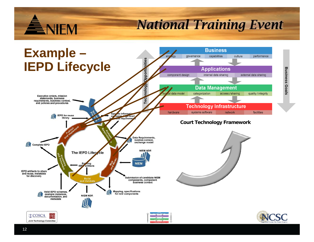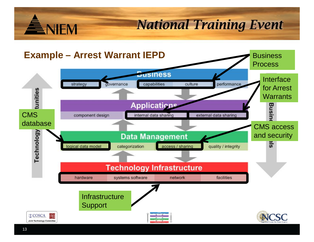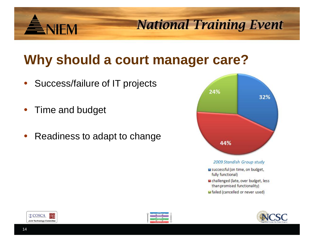## **Why should a court manager care?**

- Success/failure of IT projects
- Time and budget

**ANIEM** 

• Readiness to adapt to change







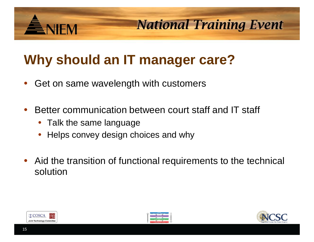# **NIFM**

**National Training Event** 

# **Why should an IT manager care?**

- Get on same wavelength with customers
- Better communication between court staff and IT staff
	- Talk the same language
	- Helps convey design choices and why
- Aid the transition of functional requirements to the technical solution





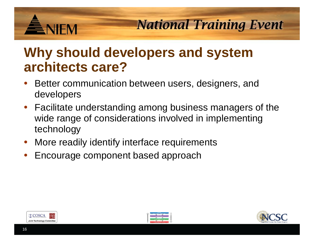

#### **Why should developers and system architects care?**

- Better communication between users, designers, and developers
- Facilitate understanding among business managers of the wide range of considerations involved in implementing technology
- More readily identify interface requirements
- Encourage component based approach





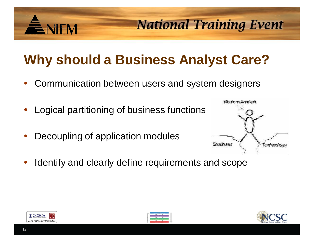# **Why should a Business Analyst Care?**

• Communication between users and system designers

Identify and clearly define requirements and scope

- Logical partitioning of business functions
- Decoupling of application modules



**National Training Event** 



**NIFM** 



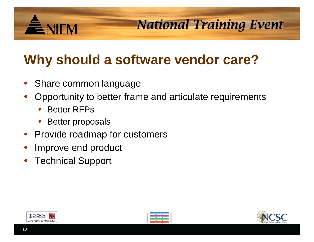

## **Why should a software vendor care?**

- Share common language
- Opportunity to better frame and articulate requirements
	- **Better RFPs**
	- Better proposals
- Provide roadmap for customers
- Improve end product
- Technical Support





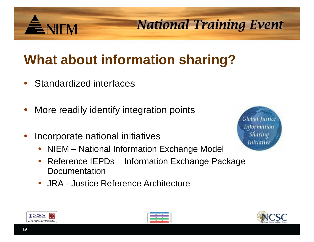# **What about information sharing?**

Standardized interfaces

ENEM

- More readily identify integration points
- Incorporate national initiatives
	- NIEM National Information Exchange Model
	- Reference IEPDs Information Exchange Package **Documentation**
	- JRA Justice Reference Architecture







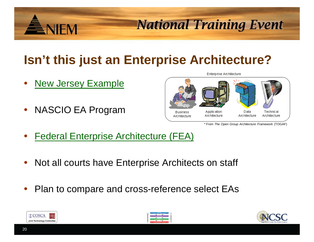

#### **Isn't this just an Enterprise Architecture?**

- **New Jersey Example**
- NASCIO EA Program



\* From *The Open Group Architecture Framework* (TOGAF)

- Federal Enterprise Architecture (FEA)
- Not all courts have Enterprise Architects on staff
- Plan to compare and cross-reference select EAs





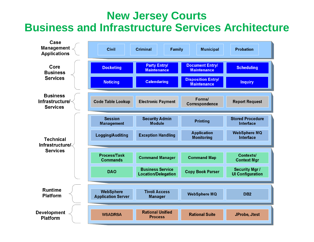#### **New Jersey Courts Business and Infrastructure Services Architecture**

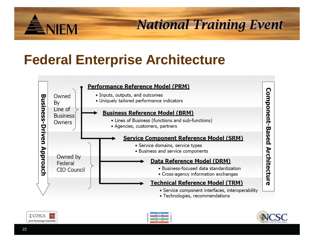

#### **Federal Enterprise Architecture**







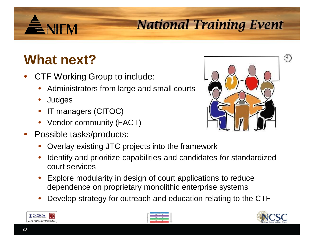# ÈNIFM

## **National Training Event**

## **What next?**

- CTF Working Group to include:
	- Administrators from large and small courts
	- **Judges**
	- IT managers (CITOC)
	- Vendor community (FACT)
- Possible tasks/products:



- Overlay existing JTC projects into the framework
- Identify and prioritize capabilities and candidates for standardized court services
- Explore modularity in design of court applications to reduce dependence on proprietary monolithic enterprise systems
- Develop strategy for outreach and education relating to the CTF